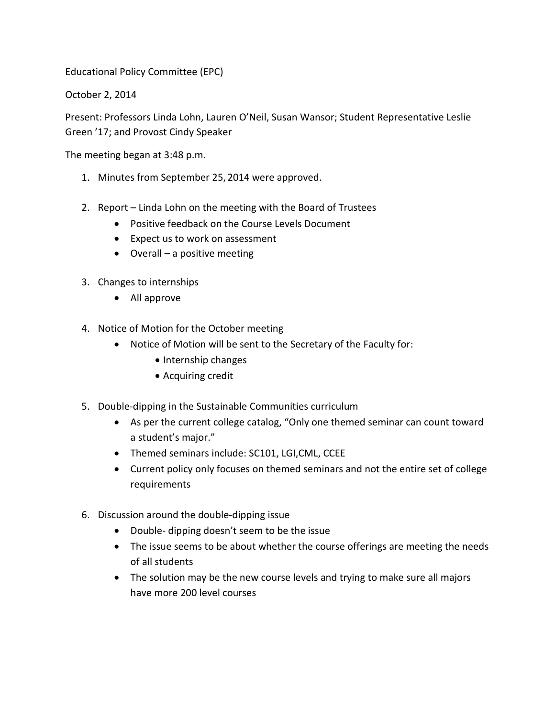Educational Policy Committee (EPC)

October 2, 2014

Present: Professors Linda Lohn, Lauren O'Neil, Susan Wansor; Student Representative Leslie Green '17; and Provost Cindy Speaker

The meeting began at 3:48 p.m.

- 1. Minutes from September 25, 2014 were approved.
- 2. Report Linda Lohn on the meeting with the Board of Trustees
	- Positive feedback on the Course Levels Document
	- Expect us to work on assessment
	- Overall a positive meeting
- 3. Changes to internships
	- All approve
- 4. Notice of Motion for the October meeting
	- Notice of Motion will be sent to the Secretary of the Faculty for:
		- Internship changes
		- Acquiring credit
- 5. Double-dipping in the Sustainable Communities curriculum
	- As per the current college catalog, "Only one themed seminar can count toward a student's major."
	- Themed seminars include: SC101, LGI,CML, CCEE
	- Current policy only focuses on themed seminars and not the entire set of college requirements
- 6. Discussion around the double-dipping issue
	- Double- dipping doesn't seem to be the issue
	- The issue seems to be about whether the course offerings are meeting the needs of all students
	- The solution may be the new course levels and trying to make sure all majors have more 200 level courses